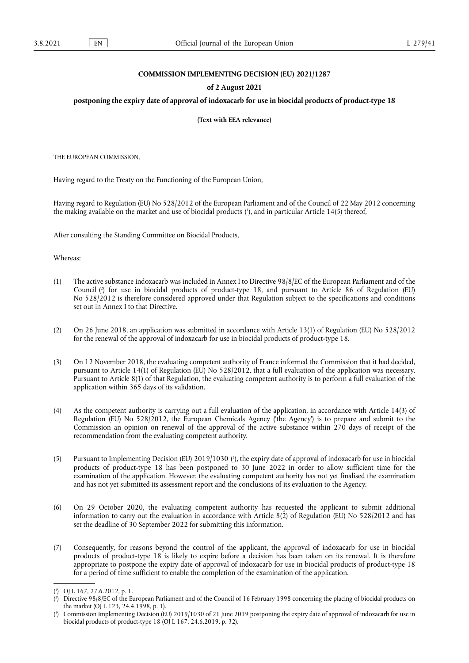### **COMMISSION IMPLEMENTING DECISION (EU) 2021/1287**

#### **of 2 August 2021**

#### **postponing the expiry date of approval of indoxacarb for use in biocidal products of product-type 18**

**(Text with EEA relevance)** 

THE EUROPEAN COMMISSION,

Having regard to the Treaty on the Functioning of the European Union,

<span id="page-0-3"></span>Having regard to Regulation (EU) No 528/2012 of the European Parliament and of the Council of 22 May 2012 concerning the making available on the market and use of biocidal products [\(](#page-0-0) 1 ), and in particular Article 14(5) thereof,

After consulting the Standing Committee on Biocidal Products,

Whereas:

- <span id="page-0-4"></span>(1) The active substance indoxacarb was included in Annex I to Directive 98/8/EC of the European Parliament and of the Council [\(](#page-0-1) 2 ) for use in biocidal products of product-type 18, and pursuant to Article 86 of Regulation (EU) No 528/2012 is therefore considered approved under that Regulation subject to the specifications and conditions set out in Annex I to that Directive.
- (2) On 26 June 2018, an application was submitted in accordance with Article 13(1) of Regulation (EU) No 528/2012 for the renewal of the approval of indoxacarb for use in biocidal products of product-type 18.
- (3) On 12 November 2018, the evaluating competent authority of France informed the Commission that it had decided, pursuant to Article 14(1) of Regulation (EU) No 528/2012, that a full evaluation of the application was necessary. Pursuant to Article 8(1) of that Regulation, the evaluating competent authority is to perform a full evaluation of the application within 365 days of its validation.
- (4) As the competent authority is carrying out a full evaluation of the application, in accordance with Article 14(3) of Regulation (EU) No 528/2012, the European Chemicals Agency ('the Agency') is to prepare and submit to the Commission an opinion on renewal of the approval of the active substance within 270 days of receipt of the recommendation from the evaluating competent authority.
- <span id="page-0-5"></span>(5) Pursuant to Implementing Decision (EU) 2019/1030 [\(](#page-0-2) 3 ), the expiry date of approval of indoxacarb for use in biocidal products of product-type 18 has been postponed to 30 June 2022 in order to allow sufficient time for the examination of the application. However, the evaluating competent authority has not yet finalised the examination and has not yet submitted its assessment report and the conclusions of its evaluation to the Agency.
- (6) On 29 October 2020, the evaluating competent authority has requested the applicant to submit additional information to carry out the evaluation in accordance with Article 8(2) of Regulation (EU) No 528/2012 and has set the deadline of 30 September 2022 for submitting this information.
- (7) Consequently, for reasons beyond the control of the applicant, the approval of indoxacarb for use in biocidal products of product-type 18 is likely to expire before a decision has been taken on its renewal. It is therefore appropriate to postpone the expiry date of approval of indoxacarb for use in biocidal products of product-type 18 for a period of time sufficient to enable the completion of the examination of the application.

<span id="page-0-0"></span>[<sup>\(</sup>](#page-0-3) 1 ) OJ L 167, 27.6.2012, p. 1.

<span id="page-0-1"></span>[<sup>\(</sup>](#page-0-4) 2 ) Directive 98/8/EC of the European Parliament and of the Council of 16 February 1998 concerning the placing of biocidal products on the market (OJ L 123, 24.4.1998, p. 1).

<span id="page-0-2"></span>[<sup>\(</sup>](#page-0-5) 3 ) Commission Implementing Decision (EU) 2019/1030 of 21 June 2019 postponing the expiry date of approval of indoxacarb for use in biocidal products of product-type 18 (OJ L 167, 24.6.2019, p. 32).